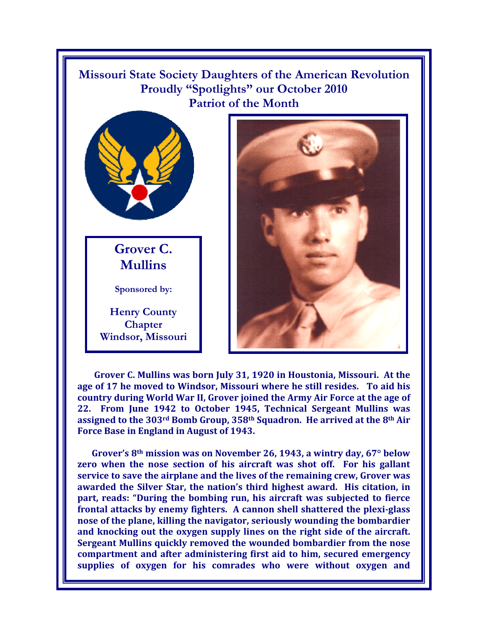## **Missouri State Society Daughters of the American Revolution Proudly "Spotlights" our October 2010 Patriot of the Month**



**Grover C. Mullins** 

**Henry County Chapter Windsor, Missouri** 

**Sponsored by:** 



**Grover C. Mullins was born July 31, 1920 in Houstonia, Missouri. At the age of 17 he moved to Windsor, Missouri where he still resides. To aid his country during World War II, Grover joined the Army Air Force at the age of 22. From June 1942 to October 1945, Technical Sergeant Mullins was assigned to the 303rd Bomb Group, 358th Squadron. He arrived at the 8th Air Force Base in England in August of 1943.** 

**Grover's 8th mission was on November 26, 1943, a wintry day, 67° below zero when the nose section of his aircraft was shot off. For his gallant service to save the airplane and the lives of the remaining crew, Grover was awarded the Silver Star, the nation's third highest award. His citation, in part, reads: "During the bombing run, his aircraft was subjected to fierce frontal attacks by enemy fighters. A cannon shell shattered the plexi-glass nose of the plane, killing the navigator, seriously wounding the bombardier and knocking out the oxygen supply lines on the right side of the aircraft. Sergeant Mullins quickly removed the wounded bombardier from the nose compartment and after administering first aid to him, secured emergency supplies of oxygen for his comrades who were without oxygen and**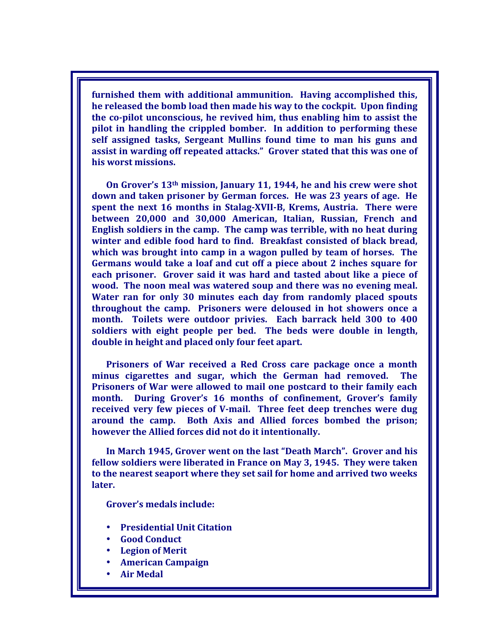**furnished them with additional ammunition. Having accomplished this, he released the bomb load then made his way to the cockpit. Upon finding the co-pilot unconscious, he revived him, thus enabling him to assist the pilot in handling the crippled bomber. In addition to performing these self assigned tasks, Sergeant Mullins found time to man his guns and assist in warding off repeated attacks." Grover stated that this was one of his worst missions.** 

**On Grover's 13th mission, January 11, 1944, he and his crew were shot down and taken prisoner by German forces. He was 23 years of age. He spent the next 16 months in Stalag-XVII-B, Krems, Austria. There were between 20,000 and 30,000 American, Italian, Russian, French and English soldiers in the camp. The camp was terrible, with no heat during winter and edible food hard to find. Breakfast consisted of black bread, which was brought into camp in a wagon pulled by team of horses. The Germans would take a loaf and cut off a piece about 2 inches square for each prisoner. Grover said it was hard and tasted about like a piece of wood. The noon meal was watered soup and there was no evening meal. Water ran for only 30 minutes each day from randomly placed spouts throughout the camp. Prisoners were deloused in hot showers once a month. Toilets were outdoor privies. Each barrack held 300 to 400 soldiers with eight people per bed. The beds were double in length, double in height and placed only four feet apart.** 

**Prisoners of War received a Red Cross care package once a month minus cigarettes and sugar, which the German had removed. The Prisoners of War were allowed to mail one postcard to their family each month. During Grover's 16 months of confinement, Grover's family received very few pieces of V-mail. Three feet deep trenches were dug around the camp. Both Axis and Allied forces bombed the prison; however the Allied forces did not do it intentionally.** 

**In March 1945, Grover went on the last "Death March". Grover and his fellow soldiers were liberated in France on May 3, 1945. They were taken to the nearest seaport where they set sail for home and arrived two weeks later.** 

**Grover's medals include:** 

- **Presidential Unit Citation**
- **Good Conduct**
- **Legion of Merit**
- **American Campaign**
- **Air Medal**